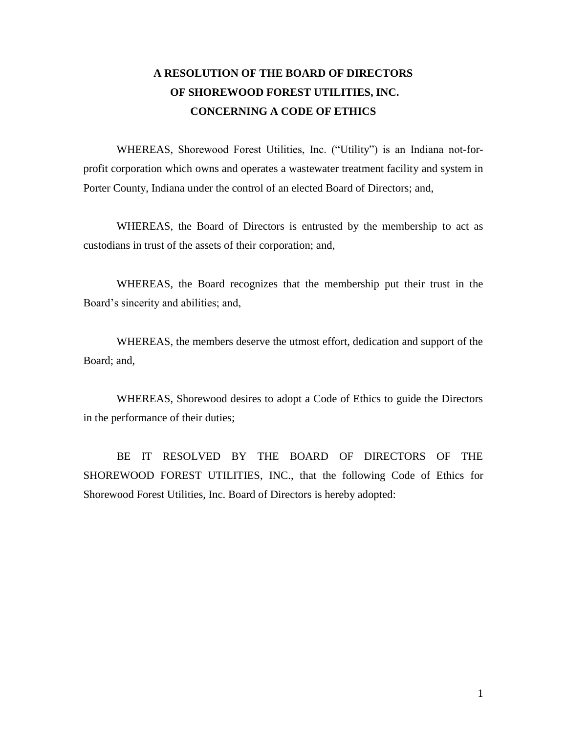# **A RESOLUTION OF THE BOARD OF DIRECTORS OF SHOREWOOD FOREST UTILITIES, INC. CONCERNING A CODE OF ETHICS**

WHEREAS, Shorewood Forest Utilities, Inc. ("Utility") is an Indiana not-forprofit corporation which owns and operates a wastewater treatment facility and system in Porter County, Indiana under the control of an elected Board of Directors; and,

WHEREAS, the Board of Directors is entrusted by the membership to act as custodians in trust of the assets of their corporation; and,

WHEREAS, the Board recognizes that the membership put their trust in the Board's sincerity and abilities; and,

WHEREAS, the members deserve the utmost effort, dedication and support of the Board; and,

WHEREAS, Shorewood desires to adopt a Code of Ethics to guide the Directors in the performance of their duties;

BE IT RESOLVED BY THE BOARD OF DIRECTORS OF THE SHOREWOOD FOREST UTILITIES, INC., that the following Code of Ethics for Shorewood Forest Utilities, Inc. Board of Directors is hereby adopted: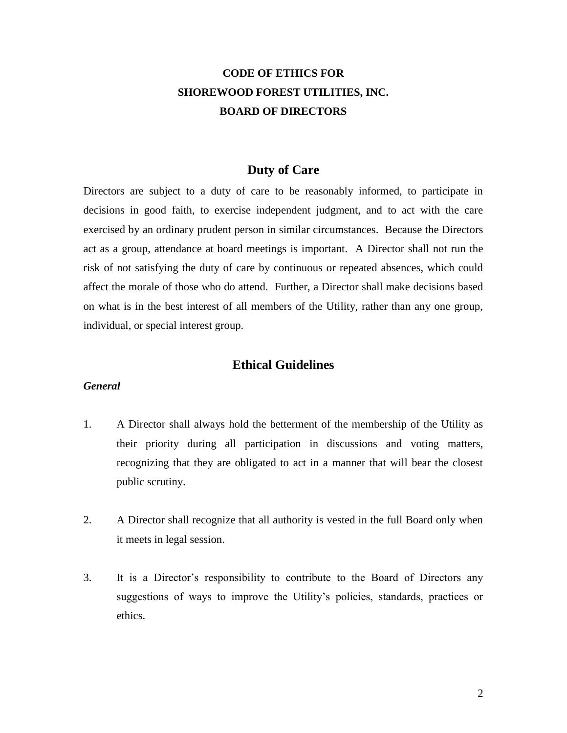# **CODE OF ETHICS FOR SHOREWOOD FOREST UTILITIES, INC. BOARD OF DIRECTORS**

## **Duty of Care**

Directors are subject to a duty of care to be reasonably informed, to participate in decisions in good faith, to exercise independent judgment, and to act with the care exercised by an ordinary prudent person in similar circumstances. Because the Directors act as a group, attendance at board meetings is important. A Director shall not run the risk of not satisfying the duty of care by continuous or repeated absences, which could affect the morale of those who do attend. Further, a Director shall make decisions based on what is in the best interest of all members of the Utility, rather than any one group, individual, or special interest group.

## **Ethical Guidelines**

#### *General*

- 1. A Director shall always hold the betterment of the membership of the Utility as their priority during all participation in discussions and voting matters, recognizing that they are obligated to act in a manner that will bear the closest public scrutiny.
- 2. A Director shall recognize that all authority is vested in the full Board only when it meets in legal session.
- 3. It is a Director's responsibility to contribute to the Board of Directors any suggestions of ways to improve the Utility's policies, standards, practices or ethics.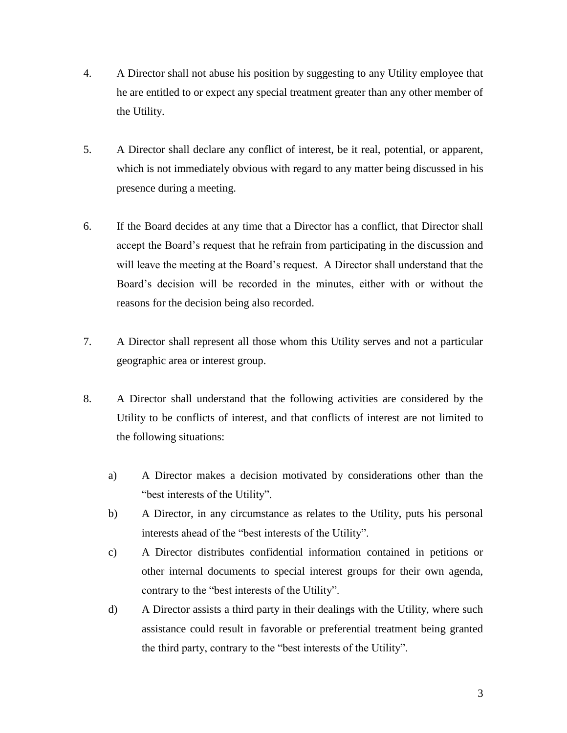- 4. A Director shall not abuse his position by suggesting to any Utility employee that he are entitled to or expect any special treatment greater than any other member of the Utility.
- 5. A Director shall declare any conflict of interest, be it real, potential, or apparent, which is not immediately obvious with regard to any matter being discussed in his presence during a meeting.
- 6. If the Board decides at any time that a Director has a conflict, that Director shall accept the Board's request that he refrain from participating in the discussion and will leave the meeting at the Board's request. A Director shall understand that the Board's decision will be recorded in the minutes, either with or without the reasons for the decision being also recorded.
- 7. A Director shall represent all those whom this Utility serves and not a particular geographic area or interest group.
- 8. A Director shall understand that the following activities are considered by the Utility to be conflicts of interest, and that conflicts of interest are not limited to the following situations:
	- a) A Director makes a decision motivated by considerations other than the "best interests of the Utility".
	- b) A Director, in any circumstance as relates to the Utility, puts his personal interests ahead of the "best interests of the Utility".
	- c) A Director distributes confidential information contained in petitions or other internal documents to special interest groups for their own agenda, contrary to the "best interests of the Utility".
	- d) A Director assists a third party in their dealings with the Utility, where such assistance could result in favorable or preferential treatment being granted the third party, contrary to the "best interests of the Utility".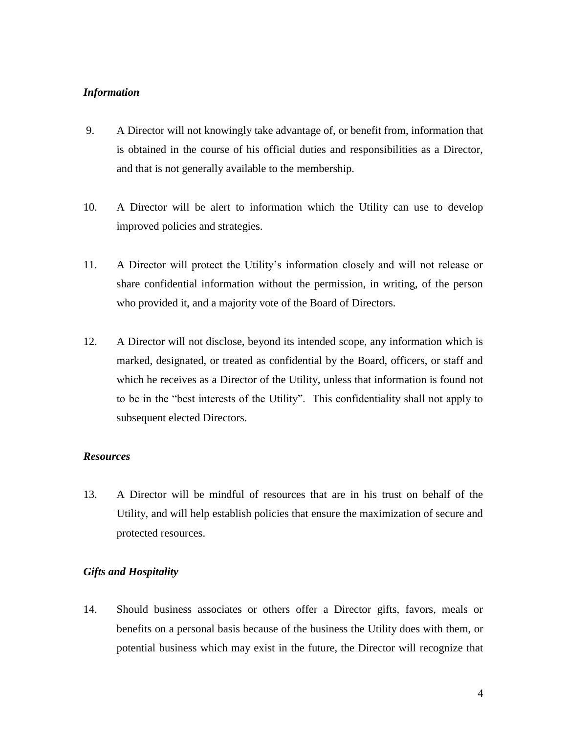### *Information*

- 9. A Director will not knowingly take advantage of, or benefit from, information that is obtained in the course of his official duties and responsibilities as a Director, and that is not generally available to the membership.
- 10. A Director will be alert to information which the Utility can use to develop improved policies and strategies.
- 11. A Director will protect the Utility's information closely and will not release or share confidential information without the permission, in writing, of the person who provided it, and a majority vote of the Board of Directors.
- 12. A Director will not disclose, beyond its intended scope, any information which is marked, designated, or treated as confidential by the Board, officers, or staff and which he receives as a Director of the Utility, unless that information is found not to be in the "best interests of the Utility". This confidentiality shall not apply to subsequent elected Directors.

#### *Resources*

13. A Director will be mindful of resources that are in his trust on behalf of the Utility, and will help establish policies that ensure the maximization of secure and protected resources.

### *Gifts and Hospitality*

14. Should business associates or others offer a Director gifts, favors, meals or benefits on a personal basis because of the business the Utility does with them, or potential business which may exist in the future, the Director will recognize that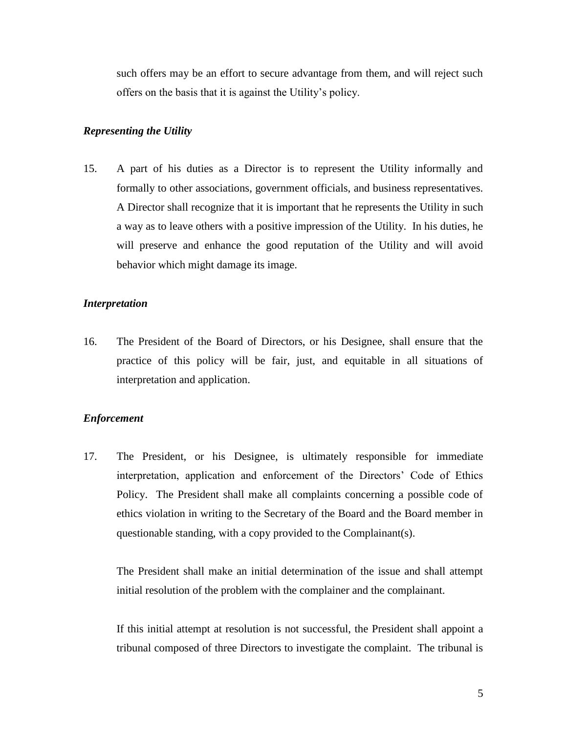such offers may be an effort to secure advantage from them, and will reject such offers on the basis that it is against the Utility's policy.

#### *Representing the Utility*

15. A part of his duties as a Director is to represent the Utility informally and formally to other associations, government officials, and business representatives. A Director shall recognize that it is important that he represents the Utility in such a way as to leave others with a positive impression of the Utility. In his duties, he will preserve and enhance the good reputation of the Utility and will avoid behavior which might damage its image.

#### *Interpretation*

16. The President of the Board of Directors, or his Designee, shall ensure that the practice of this policy will be fair, just, and equitable in all situations of interpretation and application.

#### *Enforcement*

17. The President, or his Designee, is ultimately responsible for immediate interpretation, application and enforcement of the Directors' Code of Ethics Policy. The President shall make all complaints concerning a possible code of ethics violation in writing to the Secretary of the Board and the Board member in questionable standing, with a copy provided to the Complainant(s).

The President shall make an initial determination of the issue and shall attempt initial resolution of the problem with the complainer and the complainant.

If this initial attempt at resolution is not successful, the President shall appoint a tribunal composed of three Directors to investigate the complaint. The tribunal is